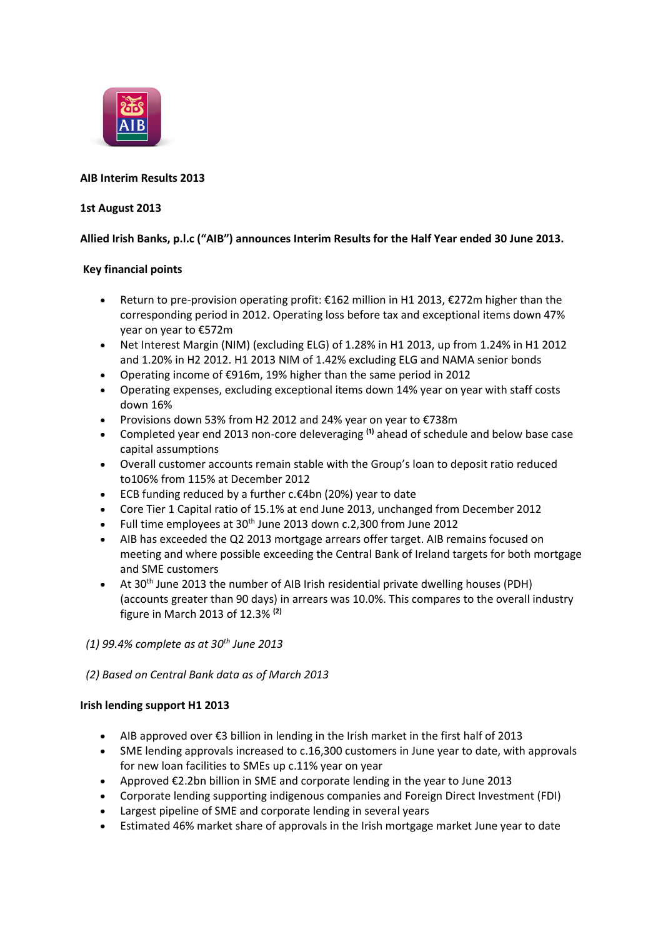

# **AIB Interim Results 2013**

## **1st August 2013**

# **Allied Irish Banks, p.l.c ("AIB") announces Interim Results for the Half Year ended 30 June 2013.**

## **Key financial points**

- Return to pre-provision operating profit: €162 million in H1 2013, €272m higher than the corresponding period in 2012. Operating loss before tax and exceptional items down 47% year on year to €572m
- Net Interest Margin (NIM) (excluding ELG) of 1.28% in H1 2013, up from 1.24% in H1 2012 and 1.20% in H2 2012. H1 2013 NIM of 1.42% excluding ELG and NAMA senior bonds
- Operating income of €916m, 19% higher than the same period in 2012
- Operating expenses, excluding exceptional items down 14% year on year with staff costs down 16%
- Provisions down 53% from H2 2012 and 24% year on year to €738m
- Completed year end 2013 non-core deleveraging <sup>(1)</sup> ahead of schedule and below base case capital assumptions
- Overall customer accounts remain stable with the Group's loan to deposit ratio reduced to106% from 115% at December 2012
- ECB funding reduced by a further c.€4bn (20%) year to date
- Core Tier 1 Capital ratio of 15.1% at end June 2013, unchanged from December 2012
- Full time employees at 30<sup>th</sup> June 2013 down c.2,300 from June 2012
- AIB has exceeded the Q2 2013 mortgage arrears offer target. AIB remains focused on meeting and where possible exceeding the Central Bank of Ireland targets for both mortgage and SME customers
- At 30th June 2013 the number of AIB Irish residential private dwelling houses (PDH) (accounts greater than 90 days) in arrears was 10.0%. This compares to the overall industry figure in March 2013 of 12.3% **(2)**
- *(1) 99.4% complete as at 30th June 2013*

# *(2) Based on Central Bank data as of March 2013*

### **Irish lending support H1 2013**

- AIB approved over €3 billion in lending in the Irish market in the first half of 2013
- SME lending approvals increased to c.16,300 customers in June year to date, with approvals for new loan facilities to SMEs up c.11% year on year
- Approved €2.2bn billion in SME and corporate lending in the year to June 2013
- Corporate lending supporting indigenous companies and Foreign Direct Investment (FDI)
- Largest pipeline of SME and corporate lending in several years
- Estimated 46% market share of approvals in the Irish mortgage market June year to date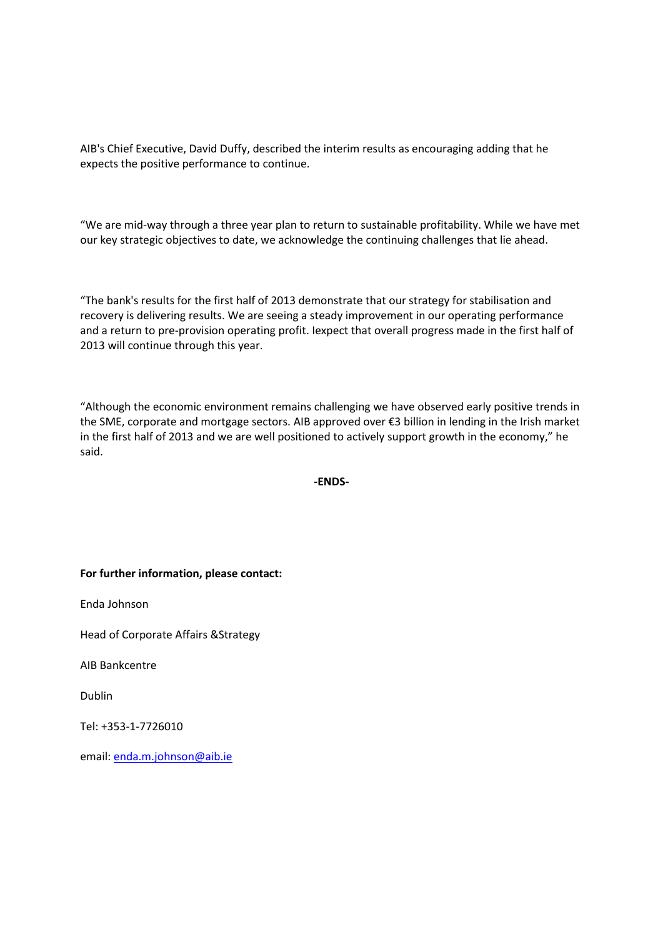AIB's Chief Executive, David Duffy, described the interim results as encouraging adding that he expects the positive performance to continue.

"We are mid-way through a three year plan to return to sustainable profitability. While we have met our key strategic objectives to date, we acknowledge the continuing challenges that lie ahead.

"The bank's results for the first half of 2013 demonstrate that our strategy for stabilisation and recovery is delivering results. We are seeing a steady improvement in our operating performance and a return to pre-provision operating profit. Iexpect that overall progress made in the first half of 2013 will continue through this year.

"Although the economic environment remains challenging we have observed early positive trends in the SME, corporate and mortgage sectors. AIB approved over €3 billion in lending in the Irish market in the first half of 2013 and we are well positioned to actively support growth in the economy," he said.

**-ENDS-**

**For further information, please contact:**

Enda Johnson

Head of Corporate Affairs &Strategy

AIB Bankcentre

Dublin

Tel: +353-1-7726010

email: [enda.m.johnson@aib.ie](mailto:enda.m.johnson@aib.ie)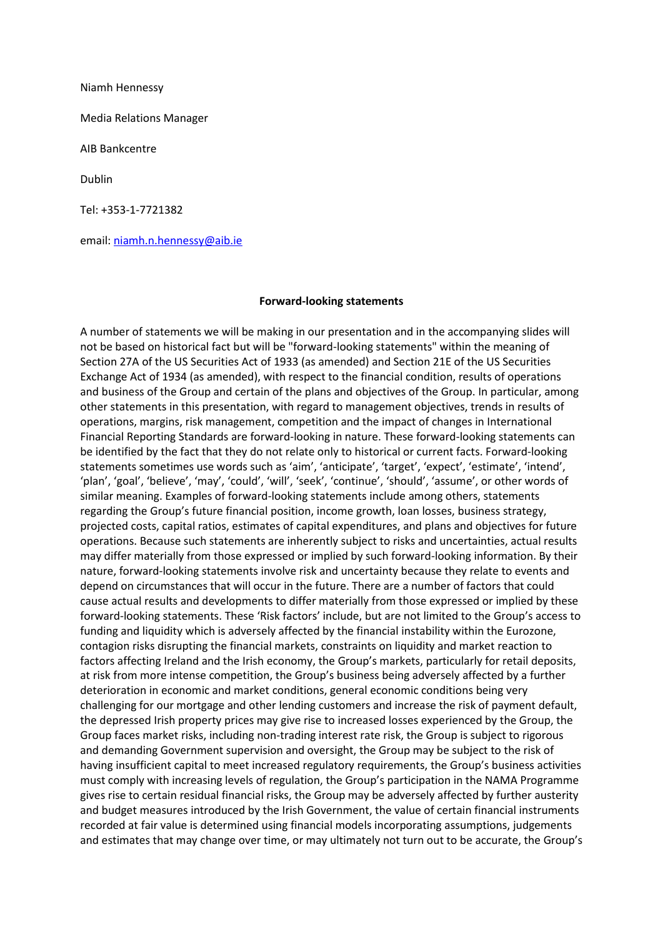Niamh Hennessy

Media Relations Manager

AIB Bankcentre

Dublin

Tel: +353-1-7721382

email: [niamh.n.hennessy@aib.ie](mailto:niamh.n.hennessy@aib.ie)

#### **Forward-looking statements**

A number of statements we will be making in our presentation and in the accompanying slides will not be based on historical fact but will be "forward-looking statements" within the meaning of Section 27A of the US Securities Act of 1933 (as amended) and Section 21E of the US Securities Exchange Act of 1934 (as amended), with respect to the financial condition, results of operations and business of the Group and certain of the plans and objectives of the Group. In particular, among other statements in this presentation, with regard to management objectives, trends in results of operations, margins, risk management, competition and the impact of changes in International Financial Reporting Standards are forward-looking in nature. These forward-looking statements can be identified by the fact that they do not relate only to historical or current facts. Forward-looking statements sometimes use words such as 'aim', 'anticipate', 'target', 'expect', 'estimate', 'intend', 'plan', 'goal', 'believe', 'may', 'could', 'will', 'seek', 'continue', 'should', 'assume', or other words of similar meaning. Examples of forward-looking statements include among others, statements regarding the Group's future financial position, income growth, loan losses, business strategy, projected costs, capital ratios, estimates of capital expenditures, and plans and objectives for future operations. Because such statements are inherently subject to risks and uncertainties, actual results may differ materially from those expressed or implied by such forward-looking information. By their nature, forward-looking statements involve risk and uncertainty because they relate to events and depend on circumstances that will occur in the future. There are a number of factors that could cause actual results and developments to differ materially from those expressed or implied by these forward-looking statements. These 'Risk factors' include, but are not limited to the Group's access to funding and liquidity which is adversely affected by the financial instability within the Eurozone, contagion risks disrupting the financial markets, constraints on liquidity and market reaction to factors affecting Ireland and the Irish economy, the Group's markets, particularly for retail deposits, at risk from more intense competition, the Group's business being adversely affected by a further deterioration in economic and market conditions, general economic conditions being very challenging for our mortgage and other lending customers and increase the risk of payment default, the depressed Irish property prices may give rise to increased losses experienced by the Group, the Group faces market risks, including non-trading interest rate risk, the Group is subject to rigorous and demanding Government supervision and oversight, the Group may be subject to the risk of having insufficient capital to meet increased regulatory requirements, the Group's business activities must comply with increasing levels of regulation, the Group's participation in the NAMA Programme gives rise to certain residual financial risks, the Group may be adversely affected by further austerity and budget measures introduced by the Irish Government, the value of certain financial instruments recorded at fair value is determined using financial models incorporating assumptions, judgements and estimates that may change over time, or may ultimately not turn out to be accurate, the Group's